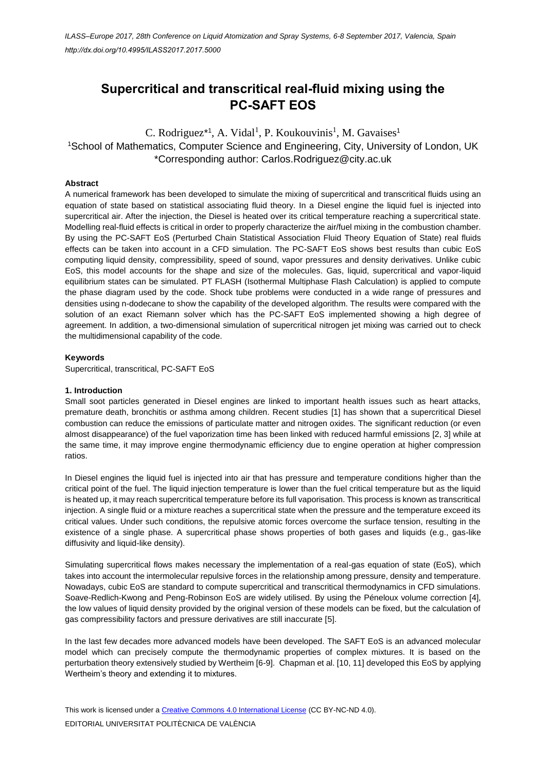# **Supercritical and transcritical real-fluid mixing using the PC-SAFT EOS**

C. Rodriguez<sup>\*1</sup>, A. Vidal<sup>1</sup>, P. Koukouvinis<sup>1</sup>, M. Gavaises<sup>1</sup> <sup>1</sup>School of Mathematics, Computer Science and Engineering, City, University of London, UK \*Corresponding author: Carlos.Rodriguez@city.ac.uk

# **Abstract**

A numerical framework has been developed to simulate the mixing of supercritical and transcritical fluids using an equation of state based on statistical associating fluid theory. In a Diesel engine the liquid fuel is injected into supercritical air. After the injection, the Diesel is heated over its critical temperature reaching a supercritical state. Modelling real-fluid effects is critical in order to properly characterize the air/fuel mixing in the combustion chamber. By using the PC-SAFT EoS (Perturbed Chain Statistical Association Fluid Theory Equation of State) real fluids effects can be taken into account in a CFD simulation. The PC-SAFT EoS shows best results than cubic EoS computing liquid density, compressibility, speed of sound, vapor pressures and density derivatives. Unlike cubic EoS, this model accounts for the shape and size of the molecules. Gas, liquid, supercritical and vapor-liquid equilibrium states can be simulated. PT FLASH (Isothermal Multiphase Flash Calculation) is applied to compute the phase diagram used by the code. Shock tube problems were conducted in a wide range of pressures and densities using n-dodecane to show the capability of the developed algorithm. The results were compared with the solution of an exact Riemann solver which has the PC-SAFT EoS implemented showing a high degree of agreement. In addition, a two-dimensional simulation of supercritical nitrogen jet mixing was carried out to check the multidimensional capability of the code.

# **Keywords**

Supercritical, transcritical, PC-SAFT EoS

# **1. Introduction**

Small soot particles generated in Diesel engines are linked to important health issues such as heart attacks, premature death, bronchitis or asthma among children. Recent studies [1] has shown that a supercritical Diesel combustion can reduce the emissions of particulate matter and nitrogen oxides. The significant reduction (or even almost disappearance) of the fuel vaporization time has been linked with reduced harmful emissions [2, 3] while at the same time, it may improve engine thermodynamic efficiency due to engine operation at higher compression ratios.

In Diesel engines the liquid fuel is injected into air that has pressure and temperature conditions higher than the critical point of the fuel. The liquid injection temperature is lower than the fuel critical temperature but as the liquid is heated up, it may reach supercritical temperature before its full vaporisation. This process is known as transcritical injection. A single fluid or a mixture reaches a supercritical state when the pressure and the temperature exceed its critical values. Under such conditions, the repulsive atomic forces overcome the surface tension, resulting in the existence of a single phase. A supercritical phase shows properties of both gases and liquids (e.g., gas-like diffusivity and liquid-like density).

Simulating supercritical flows makes necessary the implementation of a real-gas equation of state (EoS), which takes into account the intermolecular repulsive forces in the relationship among pressure, density and temperature. Nowadays, cubic EoS are standard to compute supercritical and transcritical thermodynamics in CFD simulations. Soave-Redlich-Kwong and Peng-Robinson EoS are widely utilised. By using the Péneloux volume correction [4], the low values of liquid density provided by the original version of these models can be fixed, but the calculation of gas compressibility factors and pressure derivatives are still inaccurate [5].

In the last few decades more advanced models have been developed. The SAFT EoS is an advanced molecular model which can precisely compute the thermodynamic properties of complex mixtures. It is based on the perturbation theory extensively studied by Wertheim [6-9]. Chapman et al. [10, 11] developed this EoS by applying Wertheim's theory and extending it to mixtures.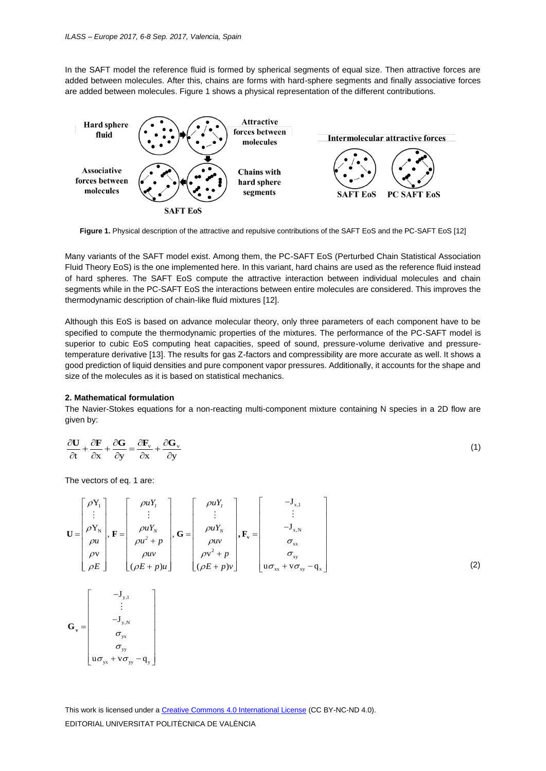In the SAFT model the reference fluid is formed by spherical segments of equal size. Then attractive forces are added between molecules. After this, chains are forms with hard-sphere segments and finally associative forces are added between molecules. Figure 1 shows a physical representation of the different contributions.



Figure 1. Physical description of the attractive and repulsive contributions of the SAFT EoS and the PC-SAFT EoS [12]

Many variants of the SAFT model exist. Among them, the PC-SAFT EoS (Perturbed Chain Statistical Association Fluid Theory EoS) is the one implemented here. In this variant, hard chains are used as the reference fluid instead of hard spheres. The SAFT EoS compute the attractive interaction between individual molecules and chain segments while in the PC-SAFT EoS the interactions between entire molecules are considered. This improves the thermodynamic description of chain-like fluid mixtures [12].

Although this EoS is based on advance molecular theory, only three parameters of each component have to be specified to compute the thermodynamic properties of the mixtures. The performance of the PC-SAFT model is superior to cubic EoS computing heat capacities, speed of sound, pressure-volume derivative and pressuretemperature derivative [13]. The results for gas Z-factors and compressibility are more accurate as well. It shows a good prediction of liquid densities and pure component vapor pressures. Additionally, it accounts for the shape and size of the molecules as it is based on statistical mechanics.

#### **2. Mathematical formulation**

The Navier-Stokes equations for a non-reacting multi-component mixture containing N species in a 2D flow are given by:

$$
\frac{\partial \mathbf{U}}{\partial t} + \frac{\partial \mathbf{F}}{\partial x} + \frac{\partial \mathbf{G}}{\partial y} = \frac{\partial \mathbf{F}_y}{\partial x} + \frac{\partial \mathbf{G}_y}{\partial y}
$$
(1)

The vectors of eq. 1 are:

y,N yx

 $\begin{array}{c} \begin{array}{c} \cdot \ \cdot \ -\mathrm{J}_{\mathrm{y,N}} \ \sigma_{\mathrm{yx}} \end{array} \end{array}$  $\begin{array}{c|c} -\mathbf{J}_{\mathbf{y},\mathbf{N}} & & \nonumber \ \boldsymbol{\sigma}_{\mathbf{yx}} & & \nonumber \ \boldsymbol{\sigma}_{\mathbf{yy}} & & \nonumber \end{array}$  $\begin{pmatrix} 3y_1N \\ \sigma_{yx} \\ \sigma_{yy} \\ u\sigma + v\sigma & -\sigma \end{pmatrix}$  $\begin{bmatrix} \sigma_{yx} \\ \sigma_{yy} \\ u\sigma_{yx} + v\sigma_{yy} - q_{y} \end{bmatrix}$ 

yy  $\sigma_{yx}$ <br>  $\sigma_{yy}$ <br>  $u \sigma_{yx} + v \sigma_{yy} - q_y$ σ  $\begin{bmatrix}\n\sigma_{yx} \\
\sigma_{yy} \\
\sigma_{yx} + v \sigma_{yy} - q_y\n\end{bmatrix}$ 

J

÷,

 $\mathbf{G}_{\mathbf{v}} =$ 

σ

The vectors of eq. 1 are:  
\n
$$
\mathbf{U} = \begin{bmatrix} \rho Y_1 \\ \rho Y_N \\ \rho W \\ \rho W \\ \rho V \\ \rho E \end{bmatrix}, \mathbf{F} = \begin{bmatrix} \rho uY_1 \\ \vdots \\ \rho uY_N \\ \rho u^2 + p \\ \rho w \\ (\rho E + p)u \end{bmatrix}, \mathbf{G} = \begin{bmatrix} \rho uY_1 \\ \vdots \\ \rho uY_N \\ \rho w \\ \rho v^2 + p \\ (\rho E + p)v \end{bmatrix}, \mathbf{F}_v = \begin{bmatrix} -J_{x,1} \\ \vdots \\ -J_{x,N} \\ \sigma_{xx} \\ \sigma_{xy} \\ u\sigma_{xx} + v\sigma_{xy} - q_x \end{bmatrix}
$$
\n(2)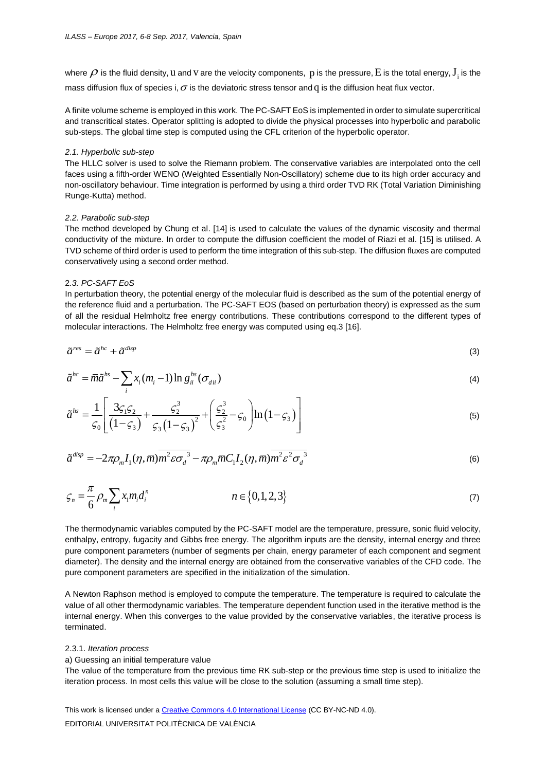where  $\rho$  is the fluid density,  ${\sf u}$  and  ${\sf v}$  are the velocity components,  $\, {\sf p}$  is the pressure, $\, {\sf E}$  is the total energy,  ${\sf J}_i$  is the mass diffusion flux of species i,  $\sigma$  is the deviatoric stress tensor and  $\rm q$  is the diffusion heat flux vector.

A finite volume scheme is employed in this work. The PC-SAFT EoS is implemented in order to simulate supercritical and transcritical states. Operator splitting is adopted to divide the physical processes into hyperbolic and parabolic sub-steps. The global time step is computed using the CFL criterion of the hyperbolic operator.

### *2.1. Hyperbolic sub-step*

The HLLC solver is used to solve the Riemann problem. The conservative variables are interpolated onto the cell faces using a fifth-order WENO (Weighted Essentially Non-Oscillatory) scheme due to its high order accuracy and non-oscillatory behaviour. Time integration is performed by using a third order TVD RK (Total Variation Diminishing Runge-Kutta) method.

#### *2.2. Parabolic sub-step*

The method developed by Chung et al. [14] is used to calculate the values of the dynamic viscosity and thermal conductivity of the mixture. In order to compute the diffusion coefficient the model of Riazi et al. [15] is utilised. A TVD scheme of third order is used to perform the time integration of this sub-step. The diffusion fluxes are computed conservatively using a second order method.

#### 2*.3. PC-SAFT EoS*

In perturbation theory, the potential energy of the molecular fluid is described as the sum of the potential energy of the reference fluid and a perturbation. The PC-SAFT EOS (based on perturbation theory) is expressed as the sum of all the residual Helmholtz free energy contributions. These contributions correspond to the different types of molecular interactions. The Helmholtz free energy was computed using eq.3 [16].

$$
\tilde{a}^{res} = \tilde{a}^{hc} + \tilde{a}^{disp} \tag{3}
$$

$$
\tilde{a}^{hc} = \overline{m}\tilde{a}^{hs} - \sum_{i} x_i (m_i - 1) \ln g_{ii}^{hs} (\sigma_{dii})
$$
\n(4)

$$
\tilde{a}^{hc} = \overline{m}\tilde{a}^{hc} - \sum_{i} x_i (m_i - 1) \ln g_{ii}^{hc} (\sigma_{di})
$$
\n
$$
\tilde{a}^{hs} = \frac{1}{\zeta_0} \left[ \frac{3\zeta_1 \zeta_2}{(1 - \zeta_3)} + \frac{\zeta_2^3}{\zeta_3 (1 - \zeta_3)^2} + \left( \frac{\zeta_2^3}{\zeta_3^2} - \zeta_0 \right) \ln (1 - \zeta_3) \right]
$$
\n(4)

$$
\tilde{a}^{disp} = -2\pi \rho_m I_1(\eta, \bar{m}) \overline{m^2 \varepsilon \sigma_d^3} - \pi \rho_m \bar{m} C_1 I_2(\eta, \bar{m}) \overline{m^2 \varepsilon^2 \sigma_d^3}
$$
(6)

$$
\zeta_n = \frac{\pi}{6} \rho_m \sum_i x_i m_i d_i^n \qquad n \in \{0, 1, 2, 3\} \tag{7}
$$

The thermodynamic variables computed by the PC-SAFT model are the temperature, pressure, sonic fluid velocity, enthalpy, entropy, fugacity and Gibbs free energy. The algorithm inputs are the density, internal energy and three pure component parameters (number of segments per chain, energy parameter of each component and segment diameter). The density and the internal energy are obtained from the conservative variables of the CFD code. The pure component parameters are specified in the initialization of the simulation.

A Newton Raphson method is employed to compute the temperature. The temperature is required to calculate the value of all other thermodynamic variables. The temperature dependent function used in the iterative method is the internal energy. When this converges to the value provided by the conservative variables, the iterative process is terminated.

#### 2.3.1. *Iteration process*

#### a) Guessing an initial temperature value

The value of the temperature from the previous time RK sub-step or the previous time step is used to initialize the iteration process. In most cells this value will be close to the solution (assuming a small time step).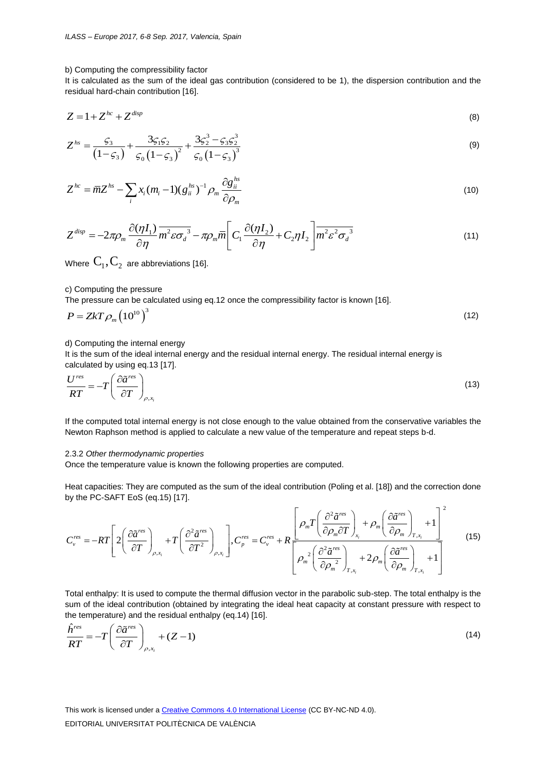#### b) Computing the compressibility factor

It is calculated as the sum of the ideal gas contribution (considered to be 1), the dispersion contribution and the residual hard-chain contribution [16].

$$
Z = 1 + Z^{hc} + Z^{disp} \tag{8}
$$

$$
Z^{hs} = \frac{\varsigma_3}{\left(1-\varsigma_3\right)} + \frac{3\varsigma_1\varsigma_2}{\varsigma_0\left(1-\varsigma_3\right)^2} + \frac{3\varsigma_2^3 - \varsigma_3\varsigma_2^3}{\varsigma_0\left(1-\varsigma_3\right)^3}
$$
(9)

$$
Z^{hc} = \overline{m}Z^{hs} - \sum_{i} x_i (m_i - 1)(g_{ii}^{hs})^{-1} \rho_m \frac{\partial g_{ii}^{hs}}{\partial \rho_m}
$$
(10)

$$
Z^{disp} = -2\pi \rho_m \frac{\partial(\eta I_1)}{\partial \eta} \overline{m^2 \varepsilon \sigma_d^3} - \pi \rho_m \overline{m} \left[ C_1 \frac{\partial(\eta I_2)}{\partial \eta} + C_2 \eta I_2 \right] \overline{m^2 \varepsilon^2 \sigma_d^3}
$$
(11)

Where  $\text{C}_{\text{\tiny{1}}} , \text{C}_{\text{\tiny{2}}}$  are abbreviations [16].

c) Computing the pressure

The pressure can be calculated using eq.12 once the compressibility factor is known [16].

$$
P = ZkT \rho_m \left(10^{10}\right)^3\tag{12}
$$

d) Computing the internal energy

It is the sum of the ideal internal energy and the residual internal energy. The residual internal energy is calculated by using eq.13 [17].

$$
\frac{U^{res}}{RT} = -T \left( \frac{\partial \tilde{a}^{res}}{\partial T} \right)_{\rho, x_i}
$$
\n(13)

If the computed total internal energy is not close enough to the value obtained from the conservative variables the Newton Raphson method is applied to calculate a new value of the temperature and repeat steps b-d.

#### 2.3.2 *Other thermodynamic properties*

Once the temperature value is known the following properties are computed.

Heat capacities: They are computed as the sum of the ideal contribution (Poling et al. [18]) and the correction done<br>by the PC-SAFT EoS (eq.15) [17].<br> $\left[\begin{array}{c} \sqrt{e^2 \tilde{a}^{res}} \end{array}\right]_{1,2}$  ( $\partial \tilde{a}^{res}$ )  $\left[\begin{array}{c} \sqrt{e^{2$ by the PC-SAFT EoS (eq.15) [17].

Once the temperature value is known the following properties are computed.  
\nHeat capacities: They are computed as the sum of the ideal contribution (Poling et al. [18]) and the correction done  
\nby the PC-SAFT EoS (eq.15) [17].  
\n
$$
C_v^{res} = -RT \left[ 2 \left( \frac{\partial \tilde{a}^{res}}{\partial T} \right)_{\rho, x_i} + T \left( \frac{\partial^2 \tilde{a}^{res}}{\partial T^2} \right)_{\rho, x_i} \right], C_{\rho}^{res} = C_v^{res} + R \left[ \frac{\rho_m T \left( \frac{\partial^2 \tilde{a}^{res}}{\partial \rho_m \partial T} \right)_{x_i} + \rho_m \left( \frac{\partial \tilde{a}^{res}}{\partial \rho_m} \right)_{T, x_i} + 1}{\left[ \rho_m^2 \left( \frac{\partial^2 \tilde{a}^{res}}{\partial \rho_m^2} \right)_{T, x_i} + 2 \rho_m \left( \frac{\partial \tilde{a}^{res}}{\partial \rho_m} \right)_{T, x_i} + 1 \right]}
$$
\n(15)

Total enthalpy: It is used to compute the thermal diffusion vector in the parabolic sub-step. The total enthalpy is the sum of the ideal contribution (obtained by integrating the ideal heat capacity at constant pressure with respect to

the temperature) and the residual enthalpy (eq.14) [16].  
\n
$$
\frac{\hat{h}^{res}}{RT} = -T \left( \frac{\partial \tilde{a}^{res}}{\partial T} \right)_{\rho, x_i} + (Z - 1)
$$
\n(14)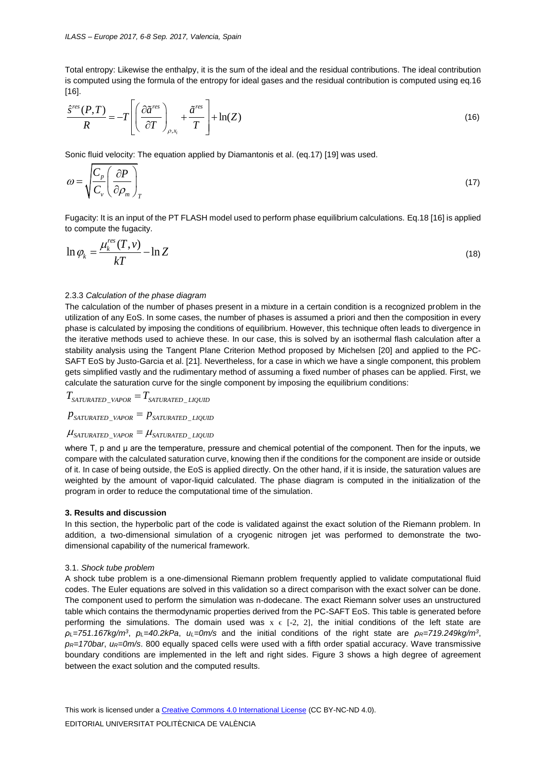Total entropy: Likewise the enthalpy, it is the sum of the ideal and the residual contributions. The ideal contribution is computed using the formula of the entropy for ideal gases and the residual contribution is computed using eq.16 [16].

$$
\frac{\hat{S}^{res}(P,T)}{R} = -T \left[ \left( \frac{\partial \tilde{a}^{res}}{\partial T} \right)_{\rho,x_i} + \frac{\tilde{a}^{res}}{T} \right] + \ln(Z) \tag{16}
$$

Sonic fluid velocity: The equation applied by Diamantonis et al. (eq.17) [19] was used.

$$
\omega = \sqrt{\frac{C_p}{C_v}} \left( \frac{\partial P}{\partial \rho_m} \right)_T \tag{17}
$$

Fugacity: It is an input of the PT FLASH model used to perform phase equilibrium calculations. Eq.18 [16] is applied to compute the fugacity.

$$
\ln \varphi_k = \frac{\mu_k^{res}(T, v)}{kT} - \ln Z \tag{18}
$$

# 2.3.3 *Calculation of the phase diagram*

The calculation of the number of phases present in a mixture in a certain condition is a recognized problem in the utilization of any EoS. In some cases, the number of phases is assumed a priori and then the composition in every phase is calculated by imposing the conditions of equilibrium. However, this technique often leads to divergence in the iterative methods used to achieve these. In our case, this is solved by an isothermal flash calculation after a stability analysis using the Tangent Plane Criterion Method proposed by Michelsen [20] and applied to the PC-SAFT EoS by Justo-Garcia et al. [21]. Nevertheless, for a case in which we have a single component, this problem gets simplified vastly and the rudimentary method of assuming a fixed number of phases can be applied. First, we calculate the saturation curve for the single component by imposing the equilibrium conditions:<br> $T_{SATURATED\_VAPOR} = T_{SATURATED\_LQUID}$ 

$$
T_{\rm saturated\_vapor}=T_{\rm saturated\_liquid}
$$

$$
P_{SATURATED\_VAPOR} - P_{SATURATED\_LIQUID}
$$
  

$$
P_{SATURATED\_VAPOR} = P_{SATURATED\_LIQUID}
$$

# P saturated\_vapor <sup>—</sup> P saturated\_liquid<br>|laturated\_vapor = laturated\_liquid

where T, p and μ are the temperature, pressure and chemical potential of the component. Then for the inputs, we compare with the calculated saturation curve, knowing then if the conditions for the component are inside or outside of it. In case of being outside, the EoS is applied directly. On the other hand, if it is inside, the saturation values are weighted by the amount of vapor-liquid calculated. The phase diagram is computed in the initialization of the program in order to reduce the computational time of the simulation.

#### **3. Results and discussion**

In this section, the hyperbolic part of the code is validated against the exact solution of the Riemann problem. In addition, a two-dimensional simulation of a cryogenic nitrogen jet was performed to demonstrate the twodimensional capability of the numerical framework.

#### 3.1. *Shock tube problem*

A shock tube problem is a one-dimensional Riemann problem frequently applied to validate computational fluid codes. The Euler equations are solved in this validation so a direct comparison with the exact solver can be done. The component used to perform the simulation was n-dodecane. The exact Riemann solver uses an unstructured table which contains the thermodynamic properties derived from the PC-SAFT EoS. This table is generated before performing the simulations. The domain used was  $x \in [-2, 2]$ , the initial conditions of the left state are *ρL=751.167kg/m<sup>3</sup>* , *pL=40.2kPa*, *uL=0m/s* and the initial conditions of the right state are *ρR=719.249kg/m<sup>3</sup>* , *pR=170bar*, *uR=0m/s*. 800 equally spaced cells were used with a fifth order spatial accuracy. Wave transmissive boundary conditions are implemented in the left and right sides. Figure 3 shows a high degree of agreement between the exact solution and the computed results.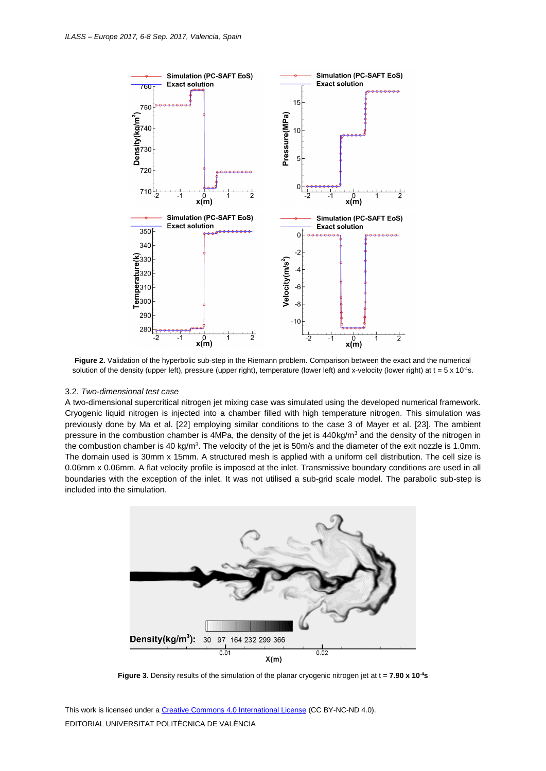

**Figure 2.** Validation of the hyperbolic sub-step in the Riemann problem. Comparison between the exact and the numerical solution of the density (upper left), pressure (upper right), temperature (lower left) and x-velocity (lower right) at  $t = 5 \times 10^{-4} s$ .

# 3.2. *Two-dimensional test case*

A two-dimensional supercritical nitrogen jet mixing case was simulated using the developed numerical framework. Cryogenic liquid nitrogen is injected into a chamber filled with high temperature nitrogen. This simulation was previously done by Ma et al. [22] employing similar conditions to the case 3 of Mayer et al. [23]. The ambient pressure in the combustion chamber is 4MPa, the density of the jet is 440kg/m<sup>3</sup> and the density of the nitrogen in the combustion chamber is 40 kg/m<sup>3</sup>. The velocity of the jet is 50m/s and the diameter of the exit nozzle is 1.0mm. The domain used is 30mm x 15mm. A structured mesh is applied with a uniform cell distribution. The cell size is 0.06mm x 0.06mm. A flat velocity profile is imposed at the inlet. Transmissive boundary conditions are used in all boundaries with the exception of the inlet. It was not utilised a sub-grid scale model. The parabolic sub-step is included into the simulation.



**Figure 3.** Density results of the simulation of the planar cryogenic nitrogen jet at t = **7.90 x 10-4s**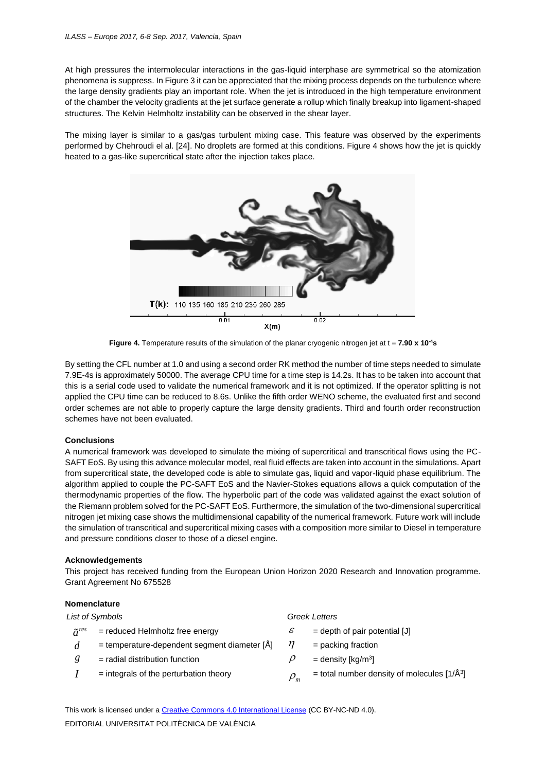At high pressures the intermolecular interactions in the gas-liquid interphase are symmetrical so the atomization phenomena is suppress. In Figure 3 it can be appreciated that the mixing process depends on the turbulence where the large density gradients play an important role. When the jet is introduced in the high temperature environment of the chamber the velocity gradients at the jet surface generate a rollup which finally breakup into ligament-shaped structures. The Kelvin Helmholtz instability can be observed in the shear layer.

The mixing layer is similar to a gas/gas turbulent mixing case. This feature was observed by the experiments performed by Chehroudi el al. [24]. No droplets are formed at this conditions. Figure 4 shows how the jet is quickly heated to a gas-like supercritical state after the injection takes place.



**Figure 4.** Temperature results of the simulation of the planar cryogenic nitrogen jet at t = **7.90 x 10-4s**

By setting the CFL number at 1.0 and using a second order RK method the number of time steps needed to simulate 7.9E-4s is approximately 50000. The average CPU time for a time step is 14.2s. It has to be taken into account that this is a serial code used to validate the numerical framework and it is not optimized. If the operator splitting is not applied the CPU time can be reduced to 8.6s. Unlike the fifth order WENO scheme, the evaluated first and second order schemes are not able to properly capture the large density gradients. Third and fourth order reconstruction schemes have not been evaluated.

# **Conclusions**

A numerical framework was developed to simulate the mixing of supercritical and transcritical flows using the PC-SAFT EoS. By using this advance molecular model, real fluid effects are taken into account in the simulations. Apart from supercritical state, the developed code is able to simulate gas, liquid and vapor-liquid phase equilibrium. The algorithm applied to couple the PC-SAFT EoS and the Navier-Stokes equations allows a quick computation of the thermodynamic properties of the flow. The hyperbolic part of the code was validated against the exact solution of the Riemann problem solved for the PC-SAFT EoS. Furthermore, the simulation of the two-dimensional supercritical nitrogen jet mixing case shows the multidimensional capability of the numerical framework. Future work will include the simulation of transcritical and supercritical mixing cases with a composition more similar to Diesel in temperature and pressure conditions closer to those of a diesel engine.

# **Acknowledgements**

This project has received funding from the European Union Horizon 2020 Research and Innovation programme. Grant Agreement No 675528

# **Nomenclature**

| List of Symbols   |                                                      | <b>Greek Letters</b> |                                                        |
|-------------------|------------------------------------------------------|----------------------|--------------------------------------------------------|
| $\tilde{a}^{res}$ | $=$ reduced Helmholtz free energy                    | $\mathcal E$         | $=$ depth of pair potential [J]                        |
|                   | $=$ temperature-dependent segment diameter [ $\AA$ ] | η                    | $=$ packing fraction                                   |
|                   | $=$ radial distribution function                     |                      | $=$ density [kg/m <sup>3</sup> ]                       |
|                   | $=$ integrals of the perturbation theory             | $\rho_{m}$           | = total number density of molecules $[1/\text{\AA}^3]$ |